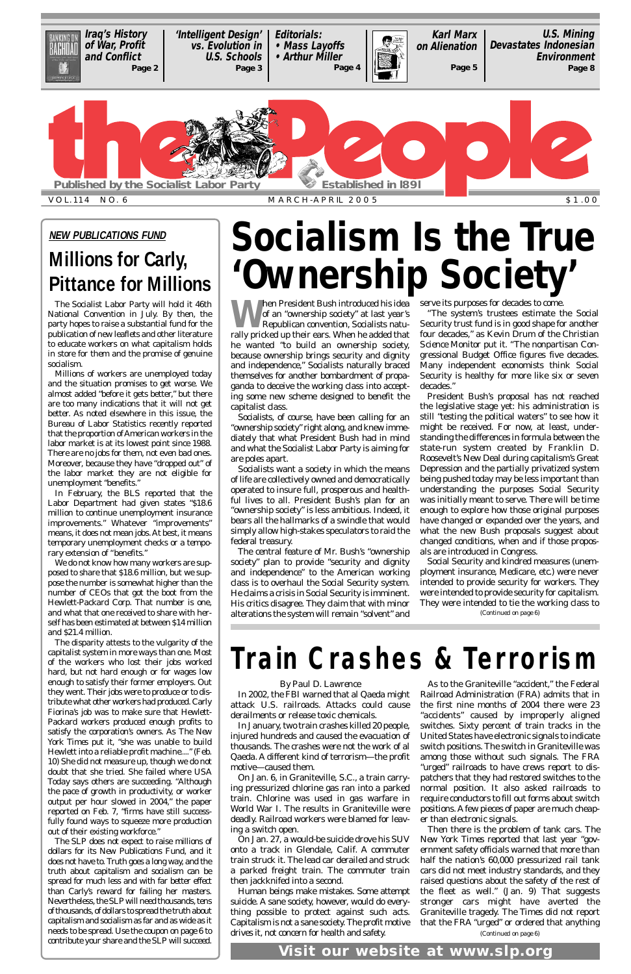When President Bush introduced his idea<br>of an "ownership society" at last year's<br>Republican convention, Socialists naturally pricked up their ears When he odded that of an "ownership society" at last year's Republican convention, Socialists naturally pricked up their ears. When he added that he wanted "to build an ownership society, because ownership brings security and dignity and independence," Socialists naturally braced themselves for another bombardment of propaganda to deceive the working class into accepting some new scheme designed to benefit the capitalist class.

Socialists, of course, have been calling for an "ownership society" right along, and knew immediately that what President Bush had in mind and what the Socialist Labor Party is aiming for are poles apart.

Socialists want a society in which the means of life are collectively owned and democratically operated to insure full, prosperous and healthful lives to all. President Bush's plan for an "ownership society" is less ambitious. Indeed, it bears all the hallmarks of a swindle that would simply allow high-stakes speculators to raid the federal treasury.

The central feature of Mr. Bush's "ownership society" plan to provide "security and dignity and independence" to the American working class is to overhaul the Social Security system. He claims a crisis in Social Security is imminent. His critics disagree. They claim that with minor alterations the system will remain "solvent" and serve its purposes for decades to come.

"The system's trustees estimate the Social Security trust fund is in good shape for another four decades," as Kevin Drum of the *Christian Science Monitor* put it. "The nonpartisan Congressional Budget Office figures five decades. Many independent economists think Social Security is healthy for more like six or seven decades."

President Bush's proposal has not reached the legislative stage yet: his administration is still "testing the political waters" to see how it might be received. For now, at least, understanding the differences in formula between the state-run system created by Franklin D. Roosevelt's New Deal during capitalism's Great Depression and the partially privatized system being pushed today may be less important than understanding the purposes Social Security was initially meant to serve. There will be time enough to explore how those original purposes have changed or expanded over the years, and what the new Bush proposals suggest about changed conditions, when and if those proposals are introduced in Congress.

Social Security and kindred measures (unemployment insurance, Medicare, etc.) were never intended to provide security for workers. They were intended to provide security for capitalism. They were intended to tie the working class to

# **Socialism Is the True 'Ownership Society'**

The Socialist Labor Party will hold it 46th National Convention in July. By then, the party hopes to raise a substantial fund for the publication of new leaflets and other literature to educate workers on what capitalism holds in store for them and the promise of genuine socialism.

Millions of workers are unemployed today and the situation promises to get worse. We almost added "before it gets better," but there are too many indications that it will not get better. As noted elsewhere in this issue, the Bureau of Labor Statistics recently reported that the proportion of American workers in the labor market is at its lowest point since 1988. There are no jobs for them, not even bad ones. Moreover, because they have "dropped out" of the labor market they are not eligible for unemployment "benefits."

In February, the BLS reported that the Labor Department had given states "\$18.6 million to continue unemployment insurance improvements." Whatever "improvements" means, it does not mean jobs. At best, it means temporary unemployment checks or a temporary extension of "benefits."

We do not know how many workers are supposed to share that \$18.6 million, but we suppose the number is somewhat higher than the number of CEOs that got the boot from the Hewlett-Packard Corp. That number is one, and what that one received to share with herself has been estimated at between \$14 million and \$21.4 million.

The disparity attests to the vulgarity of the capitalist system in more ways than one. Most of the workers who lost their jobs worked hard, but not hard enough or for wages low enough to satisfy their former employers. Out they went. Their jobs were to produce or to distribute what other workers had produced. Carly Fiorina's job was to make sure that Hewlett-Packard workers produced enough profits to satisfy the corporation's owners. As *The New York Times* put it, "she was unable to build Hewlett into a reliable profit machine...." (Feb. 10) She did not measure up, though we do not doubt that she tried. She failed where *USA Today* says others are succeeding. "Although the pace of growth in productivity, or worker output per hour slowed in 2004," the paper reported on Feb. 7, "firms have still successfully found ways to squeeze more production out of their existing workforce." The SLP does not expect to raise millions of dollars for its New Publications Fund, and it does not have to. Truth goes a long way, and the truth about capitalism and socialism can be spread for much less and with far better effect than Carly's reward for failing her masters. Nevertheless, the SLPwill need thousands, tens of thousands, of dollars to spread the truth about capitalism and socialism as far and as wide as it needs to be spread. Use the coupon on page 6 to contribute your share and the SLP will succeed.

<span id="page-0-0"></span>

# **NEW PUBLICATIONS FUND**

# **Millions for Carly, Pittance for Millions**

# **Train Crashes & Terrorism**

### *By Paul D. Lawrence*

derailments or release toxic chemicals.

In January, two train crashes killed 20 people, injured hundreds and caused the evacuation of thousands. The crashes were not the work of al Qaeda. A different kind of terrorism—the profit motive—caused them.

On Jan. 6, in Graniteville, S.C., a train carrying pressurized chlorine gas ran into a parked train. Chlorine was used in gas warfare in World War I. The results in Graniteville were deadly. Railroad workers were blamed for leaving a switch open.

attack U.S. railroads. Attacks could cause the first nine months of 2004 there were 23

On Jan. 27, a would-be suicide drove his SUV onto a track in Glendale, Calif. A commuter train struck it. The lead car derailed and struck a parked freight train. The commuter train then jackknifed into a second.

Human beings make mistakes. Some attempt suicide. A sane society, however, would do everything possible to protect against such acts. Capitalism is not a sane society. The profit motive drives it, not concern for health and safety.

In 2002, the FBI warned that al Qaeda might Railroad Administration (FRA) admits that in As to the Graniteville "accident," the Federal "accidents" caused by improperly aligned switches. Sixty percent of train tracks in the United States have electronic signals to indicate switch positions. The switch in Graniteville was among those without such signals. The FRA "urged" railroads to have crews report to dispatchers that they had restored switches to the normal position. It also asked railroads to require conductors to fill out forms about switch positions. Afew pieces of paper are much cheaper than electronic signals. Then there is the problem of tank cars. *The New York Times* reported that last year "government safety officials warned that more than half the nation's 60,000 pressurized rail tank cars did not meet industry standards, and they raised questions about the safety of the rest of the fleet as well." (Jan. 9) That suggests stronger cars might have averted the Graniteville tragedy. *The Times* did not report that the FRA "urged" or ordered that anything *(Continued on page 6)*

*(Continued on page 6)*

**Visit our website at www.slp.org**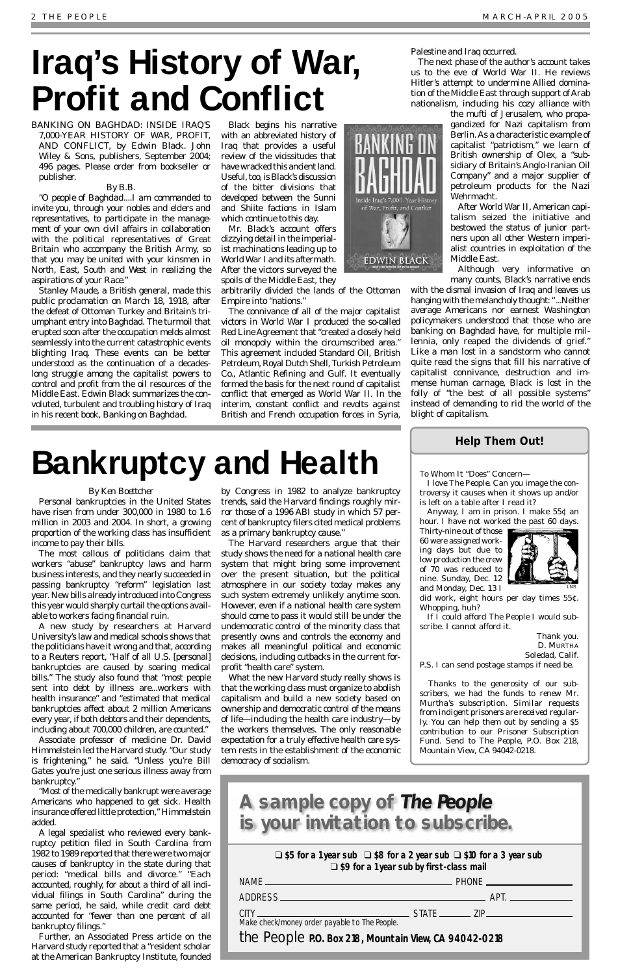### *By Ken Boettcher*

Personal bankruptcies in the United States have risen from under 300,000 in 1980 to 1.6 million in 2003 and 2004. In short, a growing proportion of the working class has insufficient income to pay their bills.

The most callous of politicians claim that workers "abuse" bankruptcy laws and harm business interests, and they nearly succeeded in passing bankruptcy "reform" legislation last year. New bills already introduced into Congress this year would sharply curtail the options available to workers facing financial ruin.

A new study by researchers at Harvard University's law and medical schools shows that the politicians have it wrong and that, according to a Reuters report, "Half of all U.S. [personal] bankruptcies are caused by soaring medical bills." The study also found that "most people sent into debt by illness are...workers with health insurance" and "estimated that medical bankruptcies affect about 2 million Americans

every year, if both debtors and their dependents, including about 700,000 children, are counted."

Associate professor of medicine Dr. David Himmelstein led the Harvard study. "Our study is frightening," he said. "Unless you're Bill Gates you're just one serious illness away from bankruptcy."

"Most of the medically bankrupt were average Americans who happened to get sick. Health insurance offered little protection," Himmelstein added.

A legal specialist who reviewed every bankruptcy petition filed in South Carolina from 1982 to 1989 reported that there were two major causes of bankruptcy in the state during that period: "medical bills and divorce." "Each accounted, roughly, for about a third of all individual filings in South Carolina" during the same period, he said, while credit card debt accounted for "fewer than one percent of all bankruptcy filings."

Further, an Associated Press article on the Harvard study reported that a "resident scholar at the American Bankruptcy Institute, founded by Congress in 1982 to analyze bankruptcy trends, said the Harvard findings roughly mirror those of a 1996 ABI study in which 57 percent of bankruptcy filers cited medical problems as a primary bankruptcy cause."

The Harvard researchers argue that their study shows the need for a national health care system that might bring some improvement over the present situation, but the political atmosphere in our society today makes any such system extremely unlikely anytime soon. However, even if a national health care system should come to pass it would still be under the undemocratic control of the minority class that presently owns and controls the economy and makes all meaningful political and economic decisions, including cutbacks in the current forprofit "health care" system.

What the new Harvard study really shows is that the working class must organize to abolish capitalism and build a new society based on ownership and democratic control of the means of life—including the health care industry—by the workers themselves. The only reasonable expectation for a truly effective health care system rests in the establishment of the economic democracy of socialism.

# **Bankruptcy and Health**

BANKING ON BAGHDAD: INSIDE IRAQ'S 7,000-YEAR HISTORY OF WAR, PROFIT, AND CONFLICT, by Edwin Black. John Wiley & Sons, publishers, September 2004; 496 pages. Please order from bookseller or publisher.

### *By B.B.*

*"O people of Baghdad....I am commanded to invite you, through your nobles and elders and representatives, to participate in the management of your own civil affairs in collaboration with the political representatives of Great Britain who accompany the British Army, so that you may be united with your kinsmen in North, East, South and West in realizing the aspirations of your Race."* 

Stanley Maude, a British general, made this public proclamation on March 18, 1918, after the defeat of Ottoman Turkey and Britain's triumphant entry into Baghdad. The turmoil that erupted soon after the occupation melds almost seamlessly into the current catastrophic events blighting Iraq. These events can be better understood as the continuation of a decadeslong struggle among the capitalist powers to control and profit from the oil resources of the Middle East. Edwin Black summarizes the convoluted, turbulent and troubling history of Iraq in his recent book, *Banking on Baghdad*.

Black begins his narrative with an abbreviated history of Iraq that provides a useful review of the vicissitudes that have wracked this ancient land. Useful, too, is Black's discussion of the bitter divisions that developed between the Sunni and Shiite factions in Islam which continue to this day.

Mr. Black's account offers dizzying detail in the imperialist machinations leading up to World War I and its aftermath. After the victors surveyed the spoils of the Middle East, they

arbitrarily divided the lands of the Ottoman Empire into "nations."

The connivance of all of the major capitalist victors in World War I produced the so-called Red Line Agreement that "created a closely held oil monopoly within the circumscribed area." This agreement included Standard Oil, British Petroleum, Royal Dutch Shell, Turkish Petroleum Co., Atlantic Refining and Gulf. It eventually formed the basis for the next round of capitalist conflict that emerged as World War II. In the interim, constant conflict and revolts against British and French occupation forces in Syria,

Palestine and Iraq occurred.

The next phase of the author's account takes us to the eve of World War II. He reviews Hitler's attempt to undermine Allied domina-

tion of the Middle East through support of Arab nationalism, including his cozy alliance with the mufti of Jerusalem, who propa-

**EDWIN BLACK** 



After World War II, American capitalism seized the initiative and bestowed the status of junior partners upon all other Western imperialist countries in exploitation of the Middle East.

Although very informative on many counts, Black's narrative ends

with the dismal invasion of Iraq and leaves us hanging with the melancholy thought: "...Neither average Americans nor earnest Washington policymakers understood that those who are banking on Baghdad have, for multiple millennia, only reaped the dividends of grief." Like a man lost in a sandstorm who cannot quite read the signs that fill his narrative of capitalist connivance, destruction and immense human carnage, Black is lost in the folly of "the best of all possible systems" instead of demanding to rid the world of the blight of capitalism.

# <span id="page-1-0"></span>**Iraq's History of War, Profit and Conflict**

❑ **\$5 for a 1 year sub** ❑ **\$8 for a 2 year sub** ❑ **\$10 for a 3 year sub** ❑ **\$9 for a 1 year sub by first-class mail**

| Make check/money order payable to The People.         |  |  |
|-------------------------------------------------------|--|--|
| the People P.O. Box 218, Mountain View, CA 94042-0218 |  |  |

# **A sample copy of The People is your invitation to subscribe.**

# **Help Them Out!**

### To Whom It "Does" Concern—

I love *The People*. Can you image the controversy it causes when it shows up and/or is left on a table after I read it?

Anyway, I am in prison. I make 55¢ an hour. I have not worked the past 60 days.

Thirty-nine out of those 60 were assigned working days but due to low production the crew of 70 was reduced to nine. Sunday, Dec. 12 and Monday, Dec. 13 I

did work, eight hours per day times 55¢. Whopping, huh?

If I could afford *The People* I would subscribe. I cannot afford it.

> Thank you. D. MURTHA Soledad, Calif.

P.S. I can send postage stamps if need be.

*Thanks to the generosity of our subscribers, we had the funds to renew Mr. Murtha's subscription. Similar requests from indigent prisoners are received regularly. You can help them out by sending a \$5 contribution to our Prisoner Subscription Fund. Send to The People, P.O. Box 218, Mountain View, CA 94042-0218.*

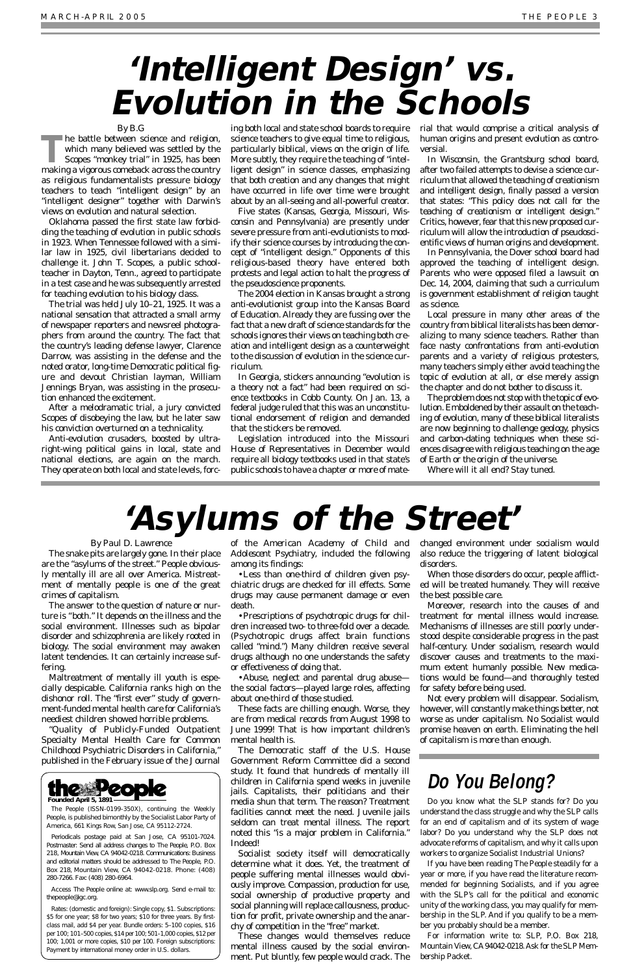#### *By Paul D. Lawrence*

The snake pits are largely gone. In their place are the "asylums of the street." People obviously mentally ill are all over America. Mistreatment of mentally people is one of the great crimes of capitalism.

The answer to the question of nature or nurture is "both." It depends on the illness and the social environment. Illnesses such as bipolar disorder and schizophrenia are likely rooted in biology. The social environment may awaken latent tendencies. It can certainly increase suffering.

Maltreatment of mentally ill youth is especially despicable. California ranks high on the dishonor roll. The "first ever" study of government-funded mental health care for California's

neediest children showed horrible problems.

"Quality of Publicly-Funded Outpatient Specialty Mental Health Care for Common Childhood Psychiatric Disorders in California," published in the February issue of the *Journal*

*of the American Academy of Child and Adolescent Psychiatry*, included the following among its findings:

•Less than one-third of children given psychiatric drugs are checked for ill effects. Some drugs may cause permanent damage or even death.

•Prescriptions of psychotropic drugs for children increased two- to three-fold over a decade. (Psychotropic drugs affect brain functions called "mind.") Many children receive several drugs although no one understands the safety or effectiveness of doing that.

•Abuse, neglect and parental drug abuse the social factors—played large roles, affecting about one-third of those studied.

**The battle between science and religion,<br>which many believed was settled by the<br>Scopes "monkey trial" in 1925, has been<br>molting a vigorous semphaly serves the seurtru** which many believed was settled by the Scopes "monkey trial" in 1925, has been making a vigorous comeback across the country as religious fundamentalists pressure biology teachers to teach "intelligent design" by an "intelligent designer" together with Darwin's views on evolution and natural selection.

> These facts are chilling enough. Worse, they are from medical records from August 1998 to June 1999! That is how important children's mental health is. The Democratic staff of the U.S. House Government Reform Committee did a second study. It found that hundreds of mentally ill children in California spend weeks in juvenile jails. Capitalists, their politicians and their media shun that term. The reason? Treatment facilities cannot meet the need. Juvenile jails seldom can treat mental illness. The report noted this "is a major problem in California." Indeed! Socialist society itself will democratically determine what it does. Yet, the treatment of people suffering mental illnesses would obviously improve. Compassion, production for use, social ownership of productive property and social planning will replace callousness, production for profit, private ownership and the anarchy of competition in the "free" market. These changes would themselves reduce mental illness caused by the social environment. Put bluntly, few people would crack. The

changed environment under socialism would also reduce the triggering of latent biological disorders.

When those disorders do occur, people afflicted will be treated humanely. They will receive the best possible care.

Moreover, research into the causes of and treatment for mental illness would increase. Mechanisms of illnesses are still poorly understood despite considerable progress in the past half-century. Under socialism, research would discover causes and treatments to the maximum extent humanly possible. New medications would be found—and thoroughly tested for safety before being used.

Not every problem will disappear. Socialism, however, will constantly make things better, not worse as under capitalism. No Socialist would promise heaven on earth. Eliminating the hell of capitalism is more than enough.

# **'Asylums of the Street'**

#### *By B.G*

Oklahoma passed the first state law forbidding the teaching of evolution in public schools in 1923. When Tennessee followed with a similar law in 1925, civil libertarians decided to challenge it. John T. Scopes, a public schoolteacher in Dayton, Tenn., agreed to participate in a test case and he was subsequently arrested for teaching evolution to his biology class.

The trial was held July 10–21, 1925. It was a national sensation that attracted a small army of newspaper reporters and newsreel photographers from around the country. The fact that the country's leading defense lawyer, Clarence Darrow, was assisting in the defense and the noted orator, long-time Democratic political figure and devout Christian layman, William Jennings Bryan, was assisting in the prosecution enhanced the excitement.

After a melodramatic trial, a jury convicted Scopes of disobeying the law, but he later saw his conviction overturned on a technicality.

Anti-evolution crusaders, boosted by ultraright-wing political gains in local, state and national elections, are again on the march. They operate on both local and state levels, forc-

ing both local and state school boards to require science teachers to give equal time to religious, particularly biblical, views on the origin of life. More subtly, they require the teaching of "intelligent design" in science classes, emphasizing that both creation and any changes that might have occurred in life over time were brought about by an all-seeing and all-powerful creator.

Five states (Kansas, Georgia, Missouri, Wisconsin and Pennsylvania) are presently under severe pressure from anti-evolutionists to modify their science courses by introducing the concept of "intelligent design." Opponents of this religious-based theory have entered both protests and legal action to halt the progress of the pseudoscience proponents.

The 2004 election in Kansas brought a strong anti-evolutionist group into the Kansas Board of Education. Already they are fussing over the fact that a new draft of science standards for the schools ignores their views on teaching both creation and intelligent design as a counterweight to the discussion of evolution in the science curriculum.

In Georgia, stickers announcing "evolution is a theory not a fact" had been required on science textbooks in Cobb County. On Jan. 13, a federal judge ruled that this was an unconstitutional endorsement of religion and demanded that the stickers be removed.

Legislation introduced into the Missouri House of Representatives in December would require all biology textbooks used in that state's public schools to have a chapter or more of material that would comprise a critical analysis of human origins and present evolution as controversial.

In Wisconsin, the Grantsburg school board, after two failed attempts to devise a science curriculum that allowed the teaching of creationism and intelligent design, finally passed a version that states: "This policy *does not call for* the teaching of creationism or intelligent design." Critics, however, fear that this new proposed curriculum will allow the introduction of pseudoscientific views of human origins and development.

In Pennsylvania, the Dover school board had approved the teaching of intelligent design. Parents who were opposed filed a lawsuit on Dec. 14, 2004, claiming that such a curriculum is government establishment of religion taught as science.

Local pressure in many other areas of the country from biblical literalists has been demoralizing to many science teachers. Rather than face nasty confrontations from anti-evolution parents and a variety of religious protesters, many teachers simply either avoid teaching the topic of evolution at all, or else merely assign the chapter and do not bother to discuss it.

The problem does not stop with the topic of evolution. Emboldened by their assault on the teaching of evolution, many of these biblical literalists are now beginning to challenge geology, physics and carbon-dating techniques when these sciences disagree with religious teaching on the age of Earth or the origin of the universe.

Where will it all end? Stay tuned.

# <span id="page-2-0"></span>**'Intelligent Design' vs. Evolution in the Schools**

# **Do You Belong?**

Do you know what the SLP stands for? Do you understand the class struggle and why the SLP calls for an end of capitalism and of its system of wage labor? Do you understand why the SLP does not advocate reforms of capitalism, and why it calls upon workers to organize Socialist Industrial Unions?

If you have been reading *The People* steadily for a year or more, if you have read the literature recommended for beginning Socialists, and if you agree with the SLP's call for the political and economic unity of the working class, you may qualify for membership in the SLP. And if you qualify to be a member you probably should be a member.

For information write to: SLP, P.O. Box 218, Mountain View, CA94042-0218. Ask for the SLP Membership Packet.



*The People* (ISSN-0199-350X), continuing the *Weekly People*, is published bimonthly by the Socialist Labor Party of America, 661 Kings Row, San Jose, CA 95112-2724.

Periodicals postage paid at San Jose, CA 95101-7024. Postmaster: Send all address changes to *The People*, P.O. Box 218, Mountain View, CA 94042-0218. Communications: Business and editorial matters should be addressed to *The People*, P.O. Box 218, Mountain View, CA 94042-0218. Phone: (408) 280-7266. Fax: (408) 280-6964.

Access *The People* online at: www.slp.org. Send e-mail to: thepeople@igc.org.

Rates: (domestic and foreign): Single copy, \$1. Subscriptions: \$5 for one year; \$8 for two years; \$10 for three years. By firstclass mail, add \$4 per year. Bundle orders: 5–100 copies, \$16 per 100; 101–500 copies, \$14 per 100; 501–1,000 copies, \$12 per 100; 1,001 or more copies, \$10 per 100. Foreign subscriptions: Payment by international money order in U.S. dollars.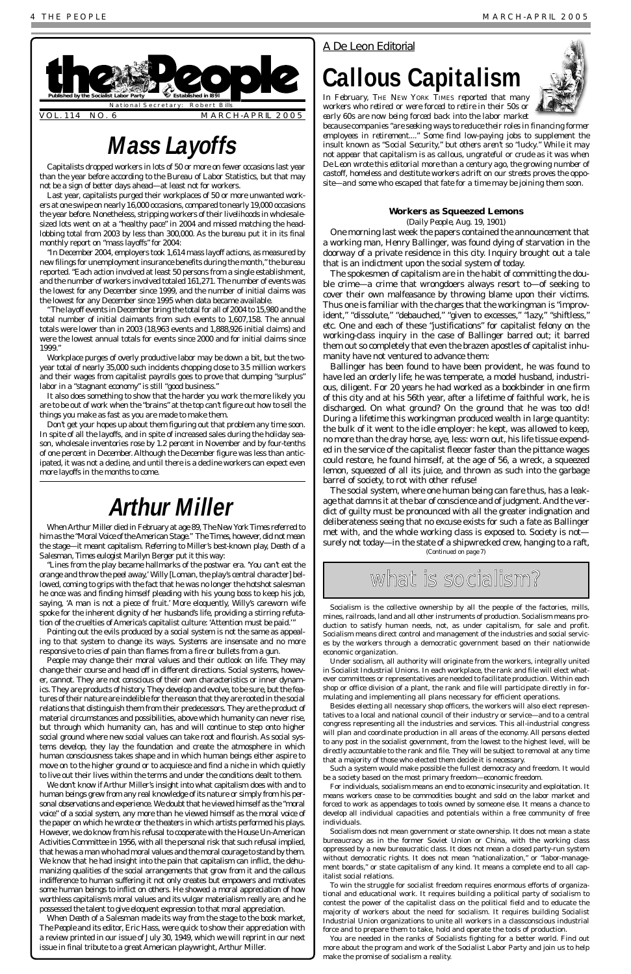Capitalists dropped workers in lots of 50 or more on fewer occasions last year than the year before according to the Bureau of Labor Statistics, but that may not be a sign of better days ahead—at least not for workers.

Last year, capitalists purged their workplaces of 50 or more unwanted workers at one swipe on nearly 16,000 occasions, compared to nearly 19,000 occasions the year before. Nonetheless, stripping workers of their livelihoods in wholesalesized lots went on at a "healthy pace" in 2004 and missed matching the headlobbing total from 2003 by less than 300,000. As the bureau put it in its final monthly report on "mass layoffs" for 2004:

"In December 2004, employers took 1,614 mass layoff actions, as measured by new filings for unemployment insurance benefits during the month," the bureau reported. "Each action involved at least 50 persons from a single establishment, and the number of workers involved totaled 161,271. The number of events was the lowest for any December since 1999, and the number of initial claims was the lowest for any December since 1995 when data became available.

"The layoff events in December bring the total for all of 2004 to 15,980 and the total number of initial claimants from such events to 1,607,158. The annual totals were lower than in 2003 (18,963 events and 1,888,926 initial claims) and were the lowest annual totals for events since 2000 and for initial claims since 1999."

Workplace purges of overly productive labor may be down a bit, but the twoyear total of nearly 35,000 such incidents chopping close to 3.5 million workers and their wages from capitalist payrolls goes to prove that dumping "surplus" labor in a "stagnant economy" is still "good business."

It also does something to show that the harder you work the more likely you are to be out of work when the "brains" at the top can't figure out how to sell the things you make as fast as you are made to make them.

Don't get your hopes up about them figuring out that problem any time soon. In spite of all the layoffs, and in spite of increased sales during the holiday season, wholesale inventories rose by 1.2 percent in November and by four-tenths of one percent in December. Although the December figure was less than anticipated, it was not a decline, and until there is a decline workers can expect even more layoffs in the months to come.

<span id="page-3-0"></span>

## **Workers as Squeezed Lemons**

(*Daily People,* Aug. 19, 1901)

One morning last week the papers contained the announcement that a working man, Henry Ballinger, was found dying of starvation in the doorway of a private residence in this city. Inquiry brought out a tale that is an indictment upon the social system of today.

The spokesmen of capitalism are in the habit of committing the double crime—a crime that wrongdoers always resort to—of seeking to cover their own malfeasance by throwing blame upon their victims. Thus one is familiar with the charges that the workingman is "improvident," "dissolute," "debauched," "given to excesses," "lazy," "shiftless," etc. One and each of these "justifications" for capitalist felony on the working-class inquiry in the case of Ballinger barred out; it barred them out so completely that even the brazen apostles of capitalist inhumanity have not ventured to advance them:

Ballinger has been found to have been provident, he was found to have led an orderly life; he was temperate, a model husband, industrious, diligent. For 20 years he had worked as a bookbinder in one firm of this city and at his 56th year, after a lifetime of faithful work, he is discharged. On what ground? On the ground that he was *too old*! During a lifetime this workingman produced wealth in large quantity: the bulk of it went to the idle employer: he kept, was allowed to keep, no more than the dray horse, aye, less: worn out, his life tissue expended in the service of the capitalist fleecer faster than the pittance wages could restore, he found himself, at the age of 56, a wreck, a squeezed lemon, squeezed of all its juice, and thrown as such into the garbage barrel of society, to rot with other refuse!

# **Mass Layoffs**

# *A De Leon Editorial*

# **Callous Capitalism**



*In February,* THE NEW YORK TIMES *reported that many workers who retired or were forced to retire in their 50s or early 60s are now being forced back into the labor market*

*because companies "are seeking ways to reduce their roles in financing former employees in retirement...." Some find low-paying jobs to supplement the insult known as "Social Security," but others aren't so "lucky." While it may not appear that capitalism is as callous, ungrateful or crude as it was when De Leon wrote this editorial more than a century ago, the growing number of castoff, homeless and destitute workers adrift on our streets proves the opposite—and some who escaped that fate for a time may be joining them soon.* 

Socialism is the collective ownership by all the people of the factories, mills, mines, railroads, land and all other instruments of production. Socialism means production to satisfy human needs, not, as under capitalism, for sale and profit. Socialism means direct control and management of the industries and social services by the workers through a democratic government based on their nationwide economic organization.

Under socialism, all authority will originate from the workers, integrally united in Socialist Industrial Unions. In each workplace, the rank and file will elect whatever committees or representatives are needed to facilitate production. Within each shop or office division of a plant, the rank and file will participate directly in formulating and implementing all plans necessary for efficient operations.

Besides electing all necessary shop officers, the workers will also elect representives to a local and national council of their industry or service—and to a central congress representing all the industries and services. This all-industrial congress will plan and coordinate production in all areas of the economy. All persons elected to any post in the socialist government, from the lowest to the highest level, will be directly accountable to the rank and file. They will be subject to removal at any time that a majority of those who elected them decide it is necessary.

Such a system would make possible the fullest democracy and freedom. It would be a society based on the most primary freedom—economic freedom.

For individuals, socialism means an end to economic insecurity and exploitation. It means workers cease to be commodities bought and sold on the labor market and forced to work as appendages to tools owned by someone else. It means a chance to develop all individual capacities and potentials within a free community of free individuals.

Socialism does not mean government or state ownership. It does not mean a state bureaucracy as in the former Soviet Union or China, with the working class oppressed by a new bureaucratic class. It does not mean a closed party-run system without democratic rights. It does not mean "nationalization," or "labor-management boards," or state capitalism of any kind. It means a complete end to all capitalist social relations.

To win the struggle for socialist freedom requires enormous efforts of organizational and educational work. It requires building a political party of socialism to contest the power of the capitalist class on the political field and to educate the majority of workers about the need for socialism. It requires building Socialist Industrial Union organizations to unite all workers in a classconscious industrial force and to prepare them to take, hold and operate the tools of production.

The social system, where one human being can fare thus, has a leakage that damns it at the bar of conscience and of judgment. And the verdict of guilty must be pronounced with all the greater indignation and deliberateness seeing that no excuse exists for such a fate as Ballinger met with, and the whole working class is exposed to. Society is not surely not today—in the state of a shipwrecked crew, hanging to a raft, *(Continued on page 7)*

what is socialism?

You are needed in the ranks of Socialists fighting for a better world. Find out more about the program and work of the Socialist Labor Party and join us to help make the promise of socialism a reality.

When Arthur Miller died in February at age 89, *The New York Times* referred to him as the "Moral Voice of the American Stage." The *Times*, however, did not mean the stage—it meant capitalism. Referring to Miller's best-known play, *Death of a Salesman, Times* eulogist Marilyn Berger put it this way:

"Lines from the play became hallmarks of the postwar era. 'You can't eat the orange and throw the peel away,' Willy [Loman, the play's central character] bellowed, coming to grips with the fact that he was no longer the hotshot salesman he once was and finding himself pleading with his young boss to keep his job, saying, 'A man is not a piece of fruit.' More eloquently, Willy's careworn wife spoke for the inherent dignity of her husband's life, providing a stirring refutation of the cruelties of America's capitalist culture: 'Attention must be paid.'"

Pointing out the evils produced by a social system is not the same as appealing to that system to change its ways. Systems are insensate and no more responsive to cries of pain than flames from a fire or bullets from a gun.

People may change their moral values and their outlook on life. They may change their course and head off in different directions. Social systems, however, cannot. They are not conscious of their own characteristics or inner dynamics. They are products of history. They develop and evolve, to be sure, but the features of their nature are indelible for the reason that they are rooted in the social relations that distinguish them from their predecessors. They are the product of material circumstances and possibilities, above which humanity can never rise, but through which humanity can, has and will continue to step onto higher social ground where new social values can take root and flourish. As social systems develop, they lay the foundation and create the atmosphere in which human consciousness takes shape and in which human beings either aspire to move on to the higher ground or to acquiesce and find a niche in which quietly to live out their lives within the terms and under the conditions dealt to them. We don't know if Arthur Miller's insight into what capitalism does with and to human beings grew from any real knowledge of its nature or simply from his personal observations and experience. We doubt that he viewed himself as the "moral voice" of a social system, any more than he viewed himself as the moral voice of the paper on which he wrote or the theaters in which artists performed his plays. However, we do know from his refusal to cooperate with the House Un-American Activities Committee in 1956, with all the personal risk that such refusal implied, that he was a man who had moral values and the moral courage to stand by them. We know that he had insight into the pain that capitalism can inflict, the dehumanizing qualities of the social arrangements that grow from it and the callous indifference to human suffering it not only creates but empowers and motivates some human beings to inflict on others. He showed a moral appreciation of how worthless capitalism's moral values and its vulgar materialism really are, and he possessed the talent to give eloquent expression to that moral appreciation. When *Death of a Salesman* made its way from the stage to the book market, *The People* and its editor, Eric Hass, were quick to show their appreciation with a review printed in our issue of July 30, 1949, which we will reprint in our next issue in final tribute to a great American playwright, Arthur Miller.

# **Arthur Miller**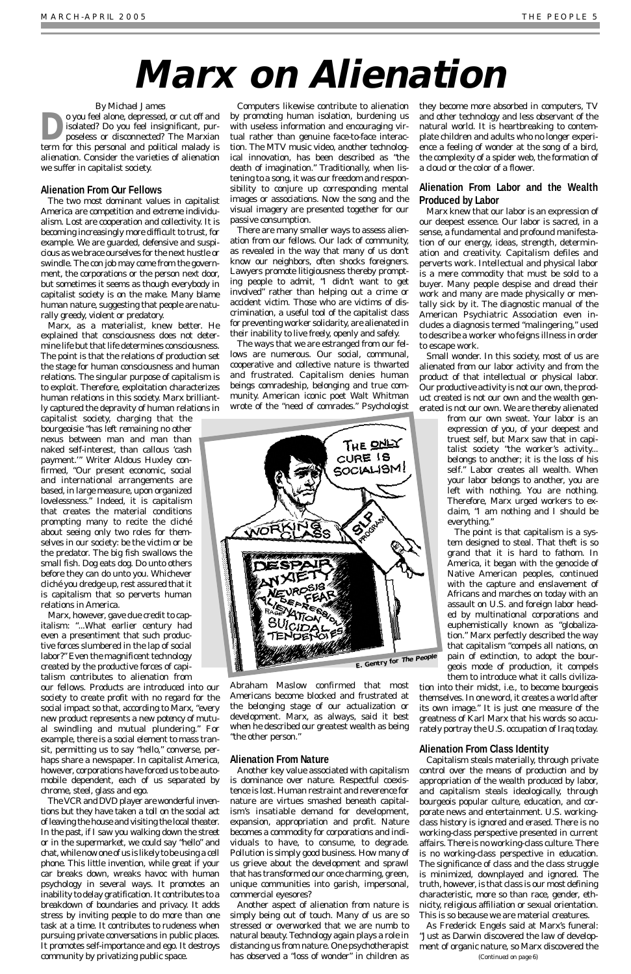### *By Michael James*

<span id="page-4-0"></span>**D**o you feel alone, depressed, or cut off and<br>
isolated? Do you feel insignificant, pur-<br>
poseless or disconnected? The Marxian isolated? Do you feel insignificant, purterm for this personal and political malady is *alienation*. Consider the varieties of alienation we suffer in capitalist society.

### **Alienation From Our Fellows**

The two most dominant values in capitalist America are competition and extreme individualism. Lost are cooperation and collectivity. It is becoming increasingly more difficult to trust, for example. We are guarded, defensive and suspicious as we brace ourselves for the next hustle or swindle. The con job may come from the government, the corporations or the person next door, but sometimes it seems as though everybody in capitalist society is on the make. Many blame human nature, suggesting that people are naturally greedy, violent or predatory.

Marx, as a materialist, knew better. He explained that consciousness does not determine life but that life determines consciousness. The point is that the relations of production set the stage for human consciousness and human relations. The singular purpose of capitalism is to exploit. Therefore, exploitation characterizes human relations in this society. Marx brilliantly captured the depravity of human relations in

capitalist society, charging that the bourgeoisie "has left remaining no other nexus between man and man than naked self-interest, than callous 'cash payment.'" Writer Aldous Huxley confirmed, "Our present economic, social and international arrangements are based, in large measure, upon organized lovelessness." Indeed, it is capitalism that creates the material conditions prompting many to recite the cliché about seeing only two roles for themselves in our society: be the victim or be the predator. The big fish swallows the small fish. Dog eats dog. Do unto others before they can do unto you. Whichever cliché you dredge up, rest assured that it is capitalism that so perverts human relations in America.

Marx, however, gave due credit to capitalism: "...What earlier century had even a presentiment that such productive forces slumbered in the lap of social labor?" Even the magnificent technology created by the productive forces of capitalism contributes to alienation from

our fellows. Products are introduced into our society to create profit with no regard for the social impact so that, according to Marx, "every

new product represents a new *potency* of mutual swindling and mutual plundering." For example, there is a social element to mass transit, permitting us to say "hello," converse, perhaps share a newspaper. In capitalist America, however, corporations have forced us to be automobile dependent, each of us separated by chrome, steel, glass and ego.

The VCR and DVD player are wonderful inventions but they have taken a toll on the social act of leaving the house and visiting the local theater. In the past, if I saw you walking down the street or in the supermarket, we could say "hello" and chat, while now one of us is likely to be using a cell phone. This little invention, while great if your car breaks down, wreaks havoc with human psychology in several ways. It promotes an inability to delay gratification. It contributes to a breakdown of boundaries and privacy. It adds stress by inviting people to do more than one task at a time. It contributes to rudeness when pursuing private conversations in public places. It promotes self-importance and ego. It destroys community by privatizing public space.

Computers likewise contribute to alienation by promoting human isolation, burdening us with useless information and encouraging virtual rather than genuine face-to-face interaction. The MTV music video, another technological innovation, has been described as "the death of imagination." Traditionally, when listening to a song, it was our freedom and responsibility to conjure up corresponding mental images or associations. Now the song and the visual imagery are presented together for our passive consumption.

There are many smaller ways to assess alienation from our fellows. Our lack of community, as revealed in the way that many of us don't know our neighbors, often shocks foreigners. Lawyers promote litigiousness thereby prompting people to admit, "I didn't want to get involved" rather than helping out a crime or accident victim. Those who are victims of discrimination, a useful tool of the capitalist class for preventing worker solidarity, are alienated in their inability to live freely, openly and safely.

The ways that we are estranged from our fellows are numerous. Our social, communal, cooperative and collective nature is thwarted and frustrated. Capitalism denies human beings comradeship, belonging and true community. American iconic poet Walt Whitman wrote of the "need of comrades." Psychologist

Abraham Maslow confirmed that most Americans become blocked and frustrated at the belonging stage of our actualization or development. Marx, as always, said it best when he described our greatest wealth as being "the other person."

## **Alienation From Nature**

Another key value associated with capitalism is dominance over nature. Respectful coexistence is lost. Human restraint and reverence for nature are virtues smashed beneath capitalism's insatiable demand for development, expansion, appropriation and profit. Nature becomes a commodity for corporations and individuals to have, to consume, to degrade. Pollution is simply good business. How many of us grieve about the development and sprawl that has transformed our once charming, green, unique communities into garish, impersonal, commercial eyesores?

Another aspect of alienation from nature is simply being out of touch. Many of us are so stressed or overworked that we are numb to natural beauty. Technology again plays a role in distancing us from nature. One psychotherapist has observed a "loss of wonder" in children as

they become more absorbed in computers, TV and other technology and less observant of the natural world. It is heartbreaking to contemplate children and adults who no longer experience a feeling of wonder at the song of a bird, the complexity of a spider web, the formation of a cloud or the color of a flower.

# **Alienation From Labor and the Wealth Produced by Labor**

Marx knew that our labor is an expression of our deepest essence. Our labor is sacred, in a sense, a fundamental and profound manifestation of our energy, ideas, strength, determination and creativity. Capitalism defiles and perverts work. Intellectual and physical labor is a mere commodity that must be sold to a buyer. Many people despise and dread their work and many are made physically or mentally sick by it. The diagnostic manual of the American Psychiatric Association even includes a diagnosis termed "malingering," used to describe a worker who feigns illness in order to escape work.

Small wonder. In this society, most of us are alienated from our labor activity and from the product of that intellectual or physical labor. Our productive activity is not our own, the product created is not our own and the wealth generated is not our own. We are thereby alienated

from our own sweat. Your labor is an expression of *you*, of your deepest and truest self, but Marx saw that in capitalist society "the worker's activity... belongs to another; it is the loss of his self." Labor creates all wealth. When your labor belongs to another, you are left with nothing. You are nothing. Therefore, Marx urged workers to exclaim, "I am nothing and I should be everything."

The point is that capitalism is a system designed to steal. That theft is so grand that it is hard to fathom. In America, it began with the genocide of Native American peoples, continued with the capture and enslavement of Africans and marches on today with an assault on U.S. and foreign labor headed by multinational corporations and euphemistically known as "globalization." Marx perfectly described the way that capitalism "compels all nations, on pain of extinction, to adopt the bourgeois mode of production, it compels them to introduce what it calls civiliza-

tion into their midst, i.e., to become bourgeois themselves. In one word, it creates a world after its own image." It is just one measure of the greatness of Karl Marx that his words so accurately portray the U.S. occupation of Iraq today.

# **Alienation From Class Identity**

Capitalism steals materially, through private control over the means of production and by appropriation of the wealth produced by labor, and capitalism steals ideologically, through bourgeois popular culture, education, and corporate news and entertainment. U.S. workingclass history is ignored and erased. There is no working-class perspective presented in current affairs. There is no working-class culture. There is no working-class perspective in education. The significance of class and the class struggle is minimized, downplayed and ignored. The truth, however, is that class is our most defining characteristic, more so than race, gender, ethnicity, religious affiliation or sexual orientation. This is so because we are material creatures.

As Frederick Engels said at Marx's funeral: "Just as Darwin discovered the law of development of organic nature, so Marx discovered the

# **Marx on Alienation**



*(Continued on page 6)*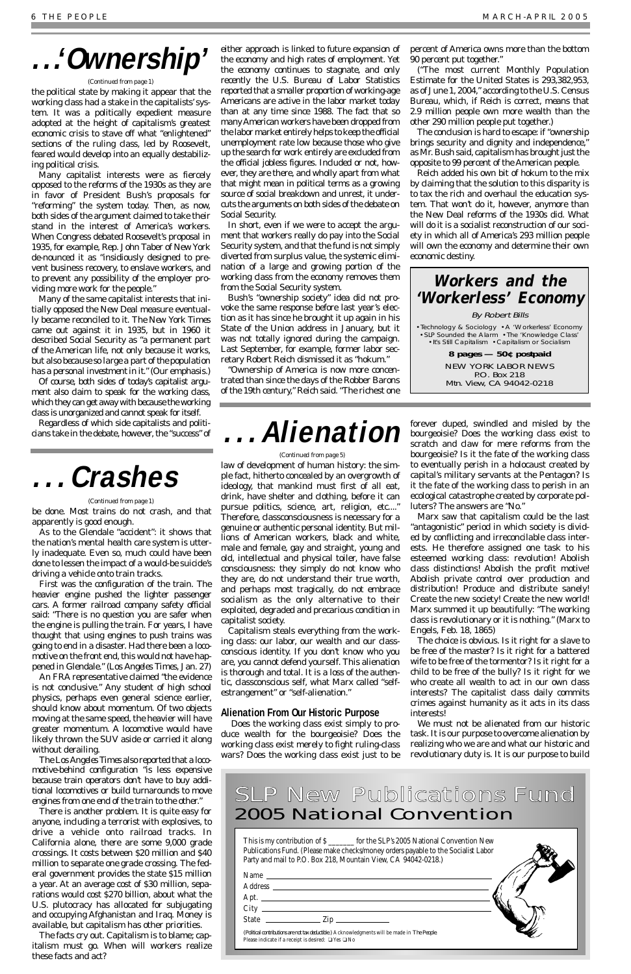the political state by making it appear that the working class had a stake in the capitalists' system. It was a politically expedient measure adopted at the height of capitalism's greatest economic crisis to stave off what "enlightened" sections of the ruling class, led by Roosevelt, feared would develop into an equally destabilizing political crisis.

Many capitalist interests were as fiercely opposed to the reforms of the 1930s as they are in favor of President Bush's proposals for "reforming" the system today. Then, as now, both sides of the argument claimed to take their stand in the interest of America's workers. When Congress debated Roosevelt's proposal in 1935, for example, Rep. John Taber of New York de-nounced it as "insidiously designed to prevent business recovery, to enslave workers, and to prevent any possibility of the employer providing more work for the people."

Many of the same capitalist interests that initially opposed the New Deal measure eventually became reconciled to it. *The New York Times* came out against it in 1935, but in 1960 it described Social Security as "a permanent part of the American life, not only because it works, but also *because so large a part of the population has a personal investment in it.*" (Our emphasis.)

Of course, both sides of today's capitalist argument also claim to speak for the working class, which they can get away with because the working class is unorganized and cannot speak for itself.

Regardless of which side capitalists and politicians take in the debate, however, the "success" of either approach is linked to future expansion of the economy and high rates of employment. Yet the economy continues to stagnate, and only recently the U.S. Bureau of Labor Statistics reported that a smaller proportion of working-age Americans are active in the labor market today than at any time since 1988. The fact that so many American workers have been dropped from the labor market entirely helps to keep the official unemployment rate low because those who give up the search for work entirely are excluded from the official jobless figures. Included or not, however, they are there, and wholly apart from what that might mean in political terms as a growing source of social breakdown and unrest, it undercuts the arguments on both sides of the debate on Social Security.

In short, even if we were to accept the argument that workers really do pay into the Social Security system, and that the fund is not simply diverted from surplus value, the systemic elimination of a large and growing portion of the working class from the economy removes them from the Social Security system.

Bush's "ownership society" idea did not provoke the same response before last year's election as it has since he brought it up again in his State of the Union address in January, but it was not totally ignored during the campaign. Last September, for example, former labor secretary Robert Reich dismissed it as "hokum."

"Ownership of America is now more concentrated than since the days of the Robber Barons of the 19th century," Reich said. "The richest one

percent of America owns more than the bottom 90 percent put together."

("The most current Monthly Population Estimate for the United States is 293,382,953, as of June 1, 2004," according to the U.S. Census Bureau, which, if Reich is correct, means that 2.9 million people own more wealth than the other 290 million people put together.)

The conclusion is hard to escape: if "ownership brings security and dignity and independence," as Mr. Bush said, capitalism has brought just the opposite to 99 percent of the American people.

Reich added his own bit of hokum to the mix by claiming that the solution to this disparity is to tax the rich and overhaul the education system. That won't do it, however, anymore than the New Deal reforms of the 1930s did. What will do it is a socialist reconstruction of our society in which all of America's 293 million people will own the economy and determine their own economic destiny.

# **. . .'Ownership'**

#### *(Continued from page 1)*

law of development of human history: the simple fact, hitherto concealed by an overgrowth of ideology, that mankind must first of all eat, drink, have shelter and clothing, before it can pursue politics, science, art, religion, etc...." Therefore, classconsciousness is necessary for a genuine or authentic personal identity. But millions of American workers, black and white, male and female, gay and straight, young and old, intellectual and physical toiler, have false consciousness: they simply do not know who they are, do not understand their true worth, and perhaps most tragically, do not embrace socialism as the only alternative to their exploited, degraded and precarious condition in capitalist society.

# SLP New Publications Fund 2005 National Convention

Capitalism steals everything from the working class: our labor, our wealth and our classconscious identity. If you don't know who you are, you cannot defend yourself. This alienation is thorough and total. It is a loss of the authentic, classconscious self, what Marx called "selfestrangement" or "self-alienation."

# **Alienation From Our Historic Purpose**

Does the working class exist simply to produce wealth for the bourgeoisie? Does the working class exist merely to fight ruling-class wars? Does the working class exist just to be

forever duped, swindled and misled by the bourgeoisie? Does the working class exist to scratch and claw for mere reforms from the bourgeoisie? Is it the fate of the working class to eventually perish in a holocaust created by capital's military servants at the Pentagon? Is it the fate of the working class to perish in an ecological catastrophe created by corporate polluters? The answers are "No."

Marx saw that capitalism could be the last "antagonistic" period in which society is divided by conflicting and irreconcilable class interests. He therefore assigned one task to his esteemed working class: revolution! Abolish class distinctions! Abolish the profit motive! Abolish private control over production and distribution! Produce and distribute sanely! Create the new society! Create the new world! Marx summed it up beautifully: "The working class is revolutionary or it is nothing." (Marx to Engels, Feb. 18, 1865)

The choice is obvious. Is it right for a slave to be free of the master? Is it right for a battered wife to be free of the tormentor? Is it right for a child to be free of the bully? Is it right for we who create all wealth to act in our own class interests? The capitalist class daily commits crimes against humanity as it acts in its class interests!

We must not be alienated from our historic task. It is our purpose to overcome alienation by realizing who we are and what our historic and revolutionary duty is. It is our purpose to build

# **. . . Alienation**

#### *(Continued from page 5)*

be done. Most trains do not crash, and that apparently is good enough.

As to the Glendale "accident": it shows that the nation's mental health care system is utterly inadequate. Even so, much could have been done to lessen the impact of a would-be suicide's driving a vehicle onto train tracks.

First was the configuration of the train. The heavier engine pushed the lighter passenger cars. A former railroad *company* safety official said: "There is no question you are safer when the engine is pulling the train. For years, I have thought that using engines to push trains was going to end in a disaster. Had there been a locomotive on the front end, this would not have happened in Glendale." (*Los Angeles Times*, Jan. 27)

An FRA representative claimed "the evidence is not conclusive." Any student of high school physics, perhaps even general science earlier, should know about momentum. Of two objects moving at the same speed, the heavier will have greater momentum. A locomotive would have likely thrown the SUV aside or carried it along without derailing. The *Los Angeles Times* also reported that a locomotive-behind configuration "is less expensive because train operators don't have to buy additional locomotives or build turnarounds to move engines from one end of the train to the other." There is another problem. It is quite easy for anyone, including a terrorist with explosives, to drive a vehicle onto railroad tracks. In California alone, there are some 9,000 grade crossings. It costs between \$20 million and \$40 million to separate *one* grade crossing. The federal government provides the state \$15 million a year. At an average cost of \$30 million, separations would cost \$270 billion, about what the U.S. plutocracy has allocated for subjugating and occupying Afghanistan and Iraq. Money is available, but capitalism has other priorities. The facts cry out. Capitalism is to blame; capitalism must go. When will workers realize these facts and act?

This is my contribution of \$ \_\_\_\_\_\_\_ for the SLP's 2005 National Convention New Publications Fund. (Please make checks/money orders payable to the Socialist Labor Party and mail to P.O. Box 218, Mountain View, CA 94042-0218.)

| Name                                                                                                                                                           |  |
|----------------------------------------------------------------------------------------------------------------------------------------------------------------|--|
| <b>Address</b>                                                                                                                                                 |  |
| Apt. $\qquad \qquad$                                                                                                                                           |  |
| City                                                                                                                                                           |  |
| <b>State</b><br>$\frac{1}{2}$ Zip                                                                                                                              |  |
| (Political contributions are not tax deductible.) Acknowledgments will be made in The People.<br>Please indicate if a receipt is desired: $\Box$ Yes $\Box$ No |  |



#### *(Continued from page 1)*

# **Workers and the 'Workerless' Economy**

By Robert Bills

•Technology & Sociology •A 'Workerless' Economy •SLP Sounded the Alarm •The 'Knowledge Class' •It's Still Capitalism •Capitalism or Socialism

> **8 pages — 50¢ postpaid** NEW YORK LABOR NEWS P.O. Box 218 Mtn. View, CA 94042-0218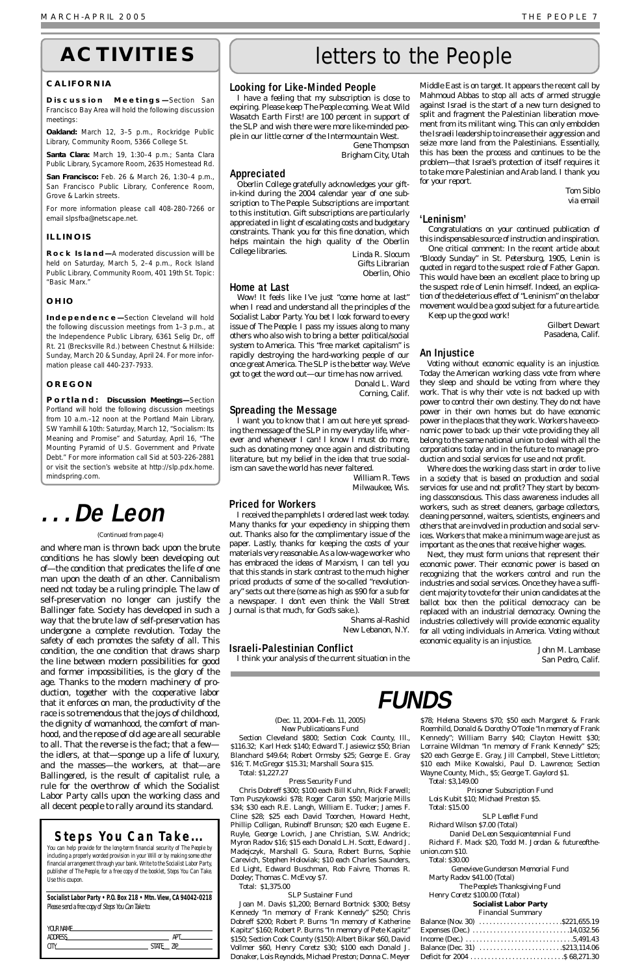### **Looking for Like-Minded People**

I have a feeling that my subscription is close to expiring. Please keep *The People* coming. We at Wild Wasatch Earth First! are 100 percent in support of the SLP and wish there were more like-minded people in our little corner of the Intermountain West.

> Gene Thompson Brigham City, Utah

## **Appreciated**

Oberlin College gratefully acknowledges your giftin-kind during the 2004 calendar year of one subscription to *The People*. Subscriptions are important to this institution. Gift subscriptions are particularly appreciated in light of escalating costs and budgetary constraints. Thank you for this fine donation, which helps maintain the high quality of the Oberlin College libraries. Linda R. Slocum

Gifts Librarian Oberlin, Ohio

## **Home at Last**

Wow! It feels like I've just "come home at last" when I read and understand all the principles of the Socialist Labor Party. You bet I look forward to every issue of *The People*. I pass my issues along to many others who also wish to bring a better political/social system to America. This "free market capitalism" is rapidly destroying the hard-working people of our once great America. The SLP *is* the better way. We've got to get the word out—*our* time has now arrived. Donald L. Ward

Corning, Calif.

## **Spreading the Message**

I want you to know that I am out here yet spreading the message of the SLP in my everyday life, wherever and whenever I can! I know I must do more, such as donating money once again and distributing literature, but my belief in the idea that true socialism can save the world has never faltered.

William R. Tews Milwaukee, Wis.

### **Priced for Workers**

I received the pamphlets I ordered last week today. Many thanks for your expediency in shipping them out. Thanks also for the complimentary issue of the paper. Lastly, thanks for keeping the costs of your materials very reasonable. As a low-wage worker who has embraced the ideas of Marxism, I can tell you that this stands in stark contrast to the much higher priced products of some of the so-called "revolutionary" sects out there (some as high as \$90 for a sub for a newspaper. I don't even think the *Wall Street Journal* is that much, for God's sake.).

> Shams al-Rashid New Lebanon, N.Y.

## **Israeli-Palestinian Conflict**

I think your analysis of the current situation in the

Middle East is on target. It appears the recent call by Mahmoud Abbas to stop all acts of armed struggle against Israel is the start of a new turn designed to split and fragment the Palestinian liberation movement from its militant wing. This can only embolden the Israeli leadership to increase their aggression and seize more land from the Palestinians. Essentially, this has been the process and continues to be the problem—that Israel's protection of itself requires it to take more Palestinian and Arab land. I thank you for your report.

> Tom Siblo via email

## **'Leninism'**

Congratulations on your continued publication of this indispensable source of instruction and inspiration.

One critical comment: In the recent article about "Bloody Sunday" in St. Petersburg, 1905, Lenin is quoted in regard to the suspect role of Father Gapon. This would have been an excellent place to bring up the suspect role of Lenin himself. Indeed, an explication of the deleterious effect of "Leninism" on the labor movement would be a good subject for a future article. Keep up the good work!

> Gilbert Dewart Pasadena, Calif.

## **An Injustice**

Voting without economic equality is an injustice. Today the American working class vote from where they sleep and should be voting from where they work. That is why their vote is not backed up with power to control their own destiny. They do not have power in their own homes but do have economic power in the places that they work. Workers have economic power to back up their vote providing they all belong to the same national union to deal with all the corporations today and in the future to manage production and social services for use and not profit.

Where does the working class start in order to live in a society that is based on production and social services for use and not profit? They start by becoming classconscious. This class awareness includes all workers, such as street cleaners, garbage collectors, cleaning personnel, waiters, scientists, engineers and others that are involved in production and social services. Workers that make a minimum wage are just as important as the ones that receive higher wages.

Next, they must form unions that represent their economic power. Their economic power is based on recognizing that the workers control and run the industries and social services. Once they have a sufficient majority to vote for their union candidates at the ballot box then the political democracy can be replaced with an industrial democracy. Owning the industries collectively will provide economic equality for all voting individuals in America. Voting without economic equality is an injustice.

> John M. Lambase San Pedro, Calif.

**FUNDS**

# letters to the People

### **Socialist Labor Party • P.O. Box 218 • Mtn. View, CA 94042-0218** Please send a free copy of Steps You Can Take to:

and where man is thrown back upon the brute conditions he has slowly been developing out of—the condition that predicates the life of one man upon the death of an other. Cannibalism need not today be a ruling principle. The law of self-preservation no longer can justify the Ballinger fate. Society has developed in such a way that the brute law of self-preservation has undergone a complete revolution. Today the safety of each promotes the safety of all. This condition, the one condition that draws sharp the line between modern possibilities for good and former impossibilities, is the glory of the age. Thanks to the modern machinery of production, together with the cooperative labor that it enforces on man, the productivity of the race is so tremendous that the joys of childhood, the dignity of womanhood, the comfort of manhood, and the repose of old age are all securable to all. That the reverse is the fact; that a few the idlers, at that—sponge up a life of luxury, and the masses—the workers, at that—are Ballingered, is the result of capitalist rule, a rule for the overthrow of which the Socialist Labor Party calls upon the working class and all decent people to rally around its standard.

# **. . .De Leon**

#### *(Continued from page 4)*

#### (Dec. 11, 2004–Feb. 11, 2005) *New Publicatioans Fund*

Section Cleveland \$800; Section Cook County, Ill., \$116.32; Karl Heck \$140; Edward T. Jasiewicz \$50; Brian Blanchard \$49.64; Robert Ormsby \$25; George E. Gray \$16; T. McGregor \$15.31; Marshall Soura \$15. Total: \$1,227.27

#### *Press Security Fund*

Chris Dobreff \$300; \$100 each Bill Kuhn, Rick Farwell; Tom Puszykowski \$78; Roger Caron \$50; Marjorie Mills \$34; \$30 each R.E. Langh, William E. Tucker; James F. Cline \$28; \$25 each David Toorchen, Howard Hecht, Phillip Colligan, Rubinoff Brunson; \$20 each Eugene E. Ruyle, George Lovrich, Jane Christian, S.W. Andrick; Myron Radov \$16; \$15 each Donald L.H. Scott, Edward J. Madejczyk, Marshall G. Soura, Robert Burns, Sophie Carevich, Stephen Holoviak; \$10 each Charles Saunders, Ed Light, Edward Buschman, Rob Faivre, Thomas R. Dooley; Thomas C. McEvoy \$7.

Total: \$1,375.00

#### *SLP Sustainer Fund*

Joan M. Davis \$1,200; Bernard Bortnick \$300; Betsy Kennedy "In memory of Frank Kennedy" \$250; Chris Dobreff \$200; Robert P. Burns "In memory of Katherine Kapitz" \$160; Robert P. Burns "In memory of Pete Kapitz" \$150; Section Cook County (\$150): Albert Bikar \$60, David Vollmer \$60, Henry Coretz \$30; \$100 each Donald J. Donaker, Lois Reynolds, Michael Preston; Donna C. Meyer

\$78; Helena Stevens \$70; \$50 each Margaret & Frank Roemhild, Donald & Dorothy O'Toole "In memory of Frank Kennedy"; William Barry \$40; Clayton Hewitt \$30; Lorraine Wildman "In memory of Frank Kennedy" \$25; \$20 each George E. Gray, Jill Campbell, Steve Littleton; \$10 each Mike Kowalski, Paul D. Lawrence; Section Wayne County, Mich., \$5; George T. Gaylord \$1.

Total: \$3,149.00

*Prisoner Subscription Fund* Lois Kubit \$10; Michael Preston \$5. Total: \$15.00

*SLP Leaflet Fund* Richard Wilson \$7.00 (Total)

*Daniel De Leon Sesquicentennial Fund* Richard F. Mack \$20, Todd M. Jordan & futureoftheunion.com \$10.

Total: \$30.00

*Genevieve Gunderson Memorial Fund*

Marty Radov \$41.00 (Total)

*The People's Thanksgiving Fund*

Henry Coretz \$100.00 (Total)

#### **Socialist Labor Party**

#### *Financial Summary*

# **ACTIVITIES**

### **CALIFORNIA**

**Discussion Meetings—**Section San Francisco Bay Area will hold the following discussion meetings:

**Oakland:** March 12, 3–5 p.m., Rockridge Public Library, Community Room, 5366 College St.

**Santa Clara:** March 19, 1:30–4 p.m.; Santa Clara Public Library, Sycamore Room, 2635 Homestead Rd.

**San Francisco:** Feb. 26 & March 26, 1:30–4 p.m., San Francisco Public Library, Conference Room, Grove & Larkin streets.

For more information please call 408-280-7266 or email slpsfba@netscape.net.

### **ILLINOIS**

**Rock Island—**A moderated discussion willl be held on Saturday, March 5, 2–4 p.m., Rock Island Public Library, Community Room, 401 19th St. Topic: "Basic Marx."

### **OHIO**

**Independence—**Section Cleveland will hold the following discussion meetings from 1–3 p.m., at the Independence Public Library, 6361 Selig Dr., off Rt. 21 (Brecksville Rd.) between Chestnut & Hillside: Sunday, March 20 & Sunday, April 24. For more information please call 440-237-7933.

### **OREGON**

**Portland: Discussion Meetings—**Section Portland will hold the following discussion meetings from 10 a.m.–12 noon at the Portland Main Library, SW Yamhill & 10th: Saturday, March 12, "Socialism: Its Meaning and Promise" and Saturday, April 16, "The Mounting Pyramid of U.S. Government and Private Debt." For more information call Sid at 503-226-2881 or visit the section's website at http://slp.pdx.home. mindspring.com.

# **Steps You Can Take...**

You can help provide for the long-term financial security of *The People* by including a properly worded provision in your Will or by making some other financial arrangement through your bank. Write to the Socialist Labor Party, publisher of *The People*, for a free copy of the booklet, *Steps You Can Take*. Use this coupon.

| YOUR NAME      |                     |
|----------------|---------------------|
| <b>ADDRESS</b> | ΔDΤ                 |
|                | 7ID<br><b>STATF</b> |
|                |                     |